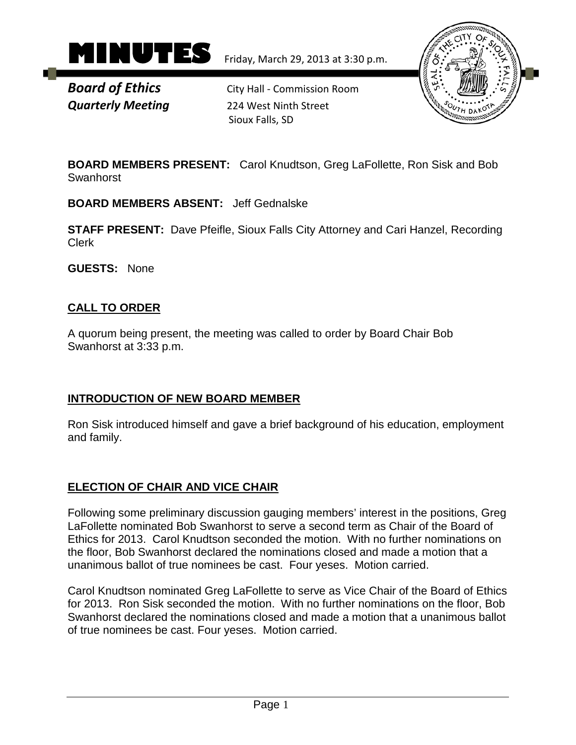

**Board of Ethics** City Hall - Commission Room *Quarterly Meeting* 224 West Ninth Street Sioux Falls, SD



**BOARD MEMBERS PRESENT:** Carol Knudtson, Greg LaFollette, Ron Sisk and Bob Swanhorst

**BOARD MEMBERS ABSENT:** Jeff Gednalske

**STAFF PRESENT:** Dave Pfeifle, Sioux Falls City Attorney and Cari Hanzel, Recording Clerk

**GUESTS:** None

# **CALL TO ORDER**

A quorum being present, the meeting was called to order by Board Chair Bob Swanhorst at 3:33 p.m.

# **INTRODUCTION OF NEW BOARD MEMBER**

Ron Sisk introduced himself and gave a brief background of his education, employment and family.

# **ELECTION OF CHAIR AND VICE CHAIR**

Following some preliminary discussion gauging members' interest in the positions, Greg LaFollette nominated Bob Swanhorst to serve a second term as Chair of the Board of Ethics for 2013. Carol Knudtson seconded the motion. With no further nominations on the floor, Bob Swanhorst declared the nominations closed and made a motion that a unanimous ballot of true nominees be cast. Four yeses. Motion carried.

Carol Knudtson nominated Greg LaFollette to serve as Vice Chair of the Board of Ethics for 2013. Ron Sisk seconded the motion. With no further nominations on the floor, Bob Swanhorst declared the nominations closed and made a motion that a unanimous ballot of true nominees be cast. Four yeses. Motion carried.